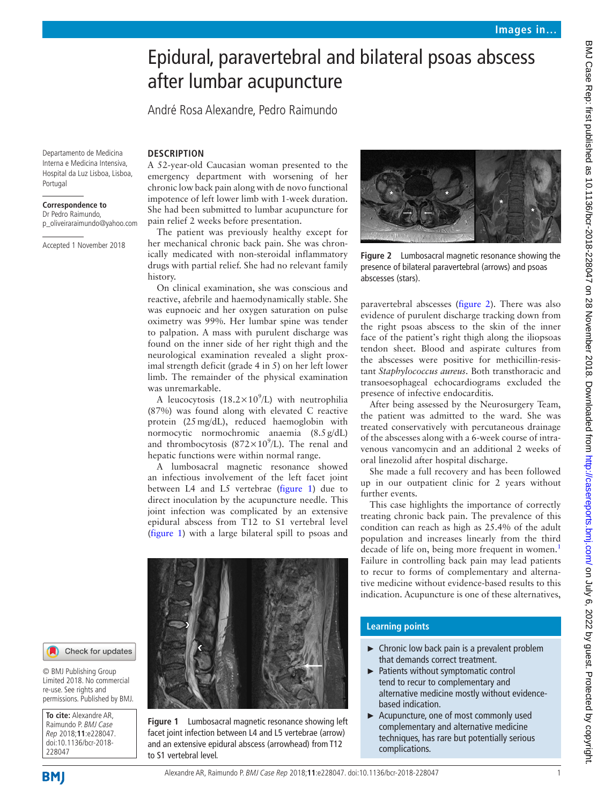# Epidural, paravertebral and bilateral psoas abscess after lumbar acupuncture

André Rosa Alexandre, Pedro Raimundo

Departamento de Medicina Interna e Medicina Intensiva, Hospital da Luz Lisboa, Lisboa, Portugal

#### **Correspondence to**

Dr Pedro Raimundo, p\_oliveiraraimundo@yahoo.com

Accepted 1 November 2018

## **Description**

A 52-year-old Caucasian woman presented to the emergency department with worsening of her chronic low back pain along with de novo functional impotence of left lower limb with 1-week duration. She had been submitted to lumbar acupuncture for pain relief 2 weeks before presentation.

The patient was previously healthy except for her mechanical chronic back pain. She was chronically medicated with non-steroidal inflammatory drugs with partial relief. She had no relevant family history.

On clinical examination, she was conscious and reactive, afebrile and haemodynamically stable. She was eupnoeic and her oxygen saturation on pulse oximetry was 99%. Her lumbar spine was tender to palpation. A mass with purulent discharge was found on the inner side of her right thigh and the neurological examination revealed a slight proximal strength deficit (grade 4 in 5) on her left lower limb. The remainder of the physical examination was unremarkable.

A leucocytosis (18.2 $\times$ 10<sup>9</sup>/L) with neutrophilia (87%) was found along with elevated C reactive protein (25mg/dL), reduced haemoglobin with normocytic normochromic anaemia (8.5g/dL) and thrombocytosis ( $872 \times 10^9$ /L). The renal and hepatic functions were within normal range.

A lumbosacral magnetic resonance showed an infectious involvement of the left facet joint between L4 and L5 vertebrae ([figure](#page-0-0) 1) due to direct inoculation by the acupuncture needle. This joint infection was complicated by an extensive epidural abscess from T12 to S1 vertebral level ([figure](#page-0-0) 1) with a large bilateral spill to psoas and

<span id="page-0-0"></span>**Figure 1** Lumbosacral magnetic resonance showing left facet joint infection between L4 and L5 vertebrae (arrow) and an extensive epidural abscess (arrowhead) from T12

to S1 vertebral level.



**Figure 2** Lumbosacral magnetic resonance showing the presence of bilateral paravertebral (arrows) and psoas abscesses (stars).

<span id="page-0-1"></span>paravertebral abscesses [\(figure](#page-0-1) 2). There was also evidence of purulent discharge tracking down from the right psoas abscess to the skin of the inner face of the patient's right thigh along the iliopsoas tendon sheet. Blood and aspirate cultures from the abscesses were positive for methicillin-resistant *Staphylococcus aureus*. Both transthoracic and transoesophageal echocardiograms excluded the presence of infective endocarditis.

After being assessed by the Neurosurgery Team, the patient was admitted to the ward. She was treated conservatively with percutaneous drainage of the abscesses along with a 6-week course of intravenous vancomycin and an additional 2 weeks of oral linezolid after hospital discharge.

She made a full recovery and has been followed up in our outpatient clinic for 2 years without further events.

This case highlights the importance of correctly treating chronic back pain. The prevalence of this condition can reach as high as 25.4% of the adult population and increases linearly from the third decade of life on, being more frequent in women.<sup>[1](#page-1-0)</sup> Failure in controlling back pain may lead patients to recur to forms of complementary and alternative medicine without evidence-based results to this indication. Acupuncture is one of these alternatives,

### **Learning points**

- ► Chronic low back pain is a prevalent problem that demands correct treatment.
- Patients without symptomatic control tend to recur to complementary and alternative medicine mostly without evidencebased indication.
- ► Acupuncture, one of most commonly used complementary and alternative medicine techniques, has rare but potentially serious complications.

### Check for updates

© BMJ Publishing Group Limited 2018. No commercial re-use. See rights and permissions. Published by BMJ.

**To cite:** Alexandre AR, Raimundo P. BMJ Case Rep 2018;**11**:e228047. doi:10.1136/bcr-2018- 228047